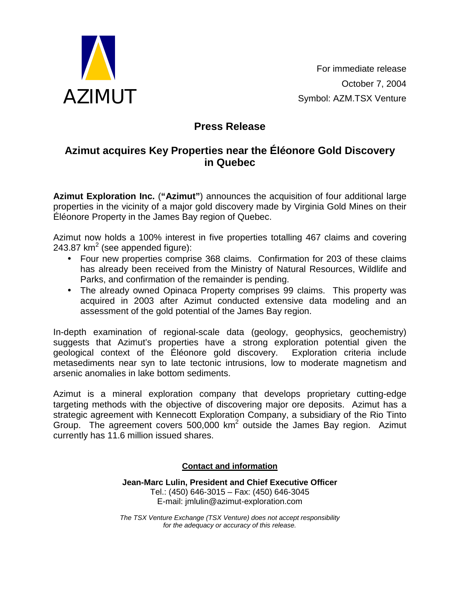

For immediate release October 7, 2004 Symbol: AZM.TSX Venture

## **Press Release**

## **Azimut acquires Key Properties near the Éléonore Gold Discovery in Quebec**

**Azimut Exploration Inc.** (**"Azimut"**) announces the acquisition of four additional large properties in the vicinity of a major gold discovery made by Virginia Gold Mines on their Éléonore Property in the James Bay region of Quebec.

Azimut now holds a 100% interest in five properties totalling 467 claims and covering 243.87 km<sup>2</sup> (see appended figure):

- Four new properties comprise 368 claims. Confirmation for 203 of these claims has already been received from the Ministry of Natural Resources, Wildlife and Parks, and confirmation of the remainder is pending.
- The already owned Opinaca Property comprises 99 claims. This property was acquired in 2003 after Azimut conducted extensive data modeling and an assessment of the gold potential of the James Bay region.

In-depth examination of regional-scale data (geology, geophysics, geochemistry) suggests that Azimut's properties have a strong exploration potential given the geological context of the Éléonore gold discovery. Exploration criteria include metasediments near syn to late tectonic intrusions, low to moderate magnetism and arsenic anomalies in lake bottom sediments.

Azimut is a mineral exploration company that develops proprietary cutting-edge targeting methods with the objective of discovering major ore deposits. Azimut has a strategic agreement with Kennecott Exploration Company, a subsidiary of the Rio Tinto Group. The agreement covers 500,000  $km^2$  outside the James Bay region. Azimut currently has 11.6 million issued shares.

## **Contact and information**

**Jean-Marc Lulin, President and Chief Executive Officer**  Tel.: (450) 646-3015 – Fax: (450) 646-3045 E-mail: jmlulin@azimut-exploration.com

*The TSX Venture Exchange (TSX Venture) does not accept responsibility for the adequacy or accuracy of this release.*